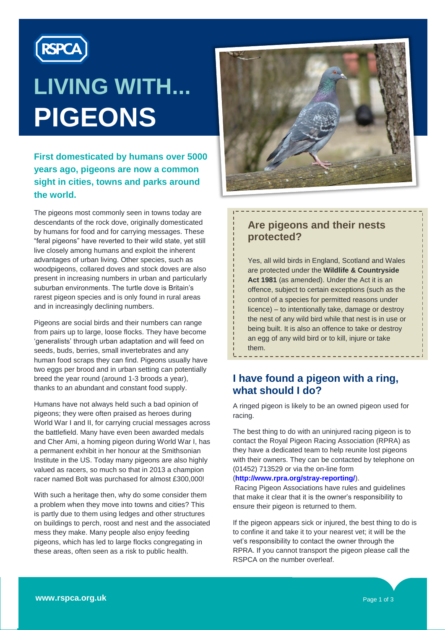

# **LIVING WITH... PIGEONS**

**First domesticated by humans over 5000 years ago, pigeons are now a common sight in cities, towns and parks around the world.** 

The pigeons most commonly seen in towns today are descendants of the rock dove, originally domesticated by humans for food and for carrying messages. These "feral pigeons" have reverted to their wild state, yet still live closely among humans and exploit the inherent advantages of urban living. Other species, such as woodpigeons, collared doves and stock doves are also present in increasing numbers in urban and particularly suburban environments. The turtle dove is Britain's rarest pigeon species and is only found in rural areas and in increasingly declining numbers.

Pigeons are social birds and their numbers can range from pairs up to large, loose flocks. They have become "generalists" through urban adaptation and will feed on seeds, buds, berries, small invertebrates and any human food scraps they can find. Pigeons usually have two eggs per brood and in urban setting can potentially breed the year round (around 1-3 broods a year), thanks to an abundant and constant food supply.

Humans have not always held such a bad opinion of pigeons; they were often praised as heroes during World War I and II, for carrying crucial messages across the battlefield. Many have even been awarded medals and Cher Ami, a homing pigeon during World War I, has a permanent exhibit in her honour at the Smithsonian Institute in the US. Today many pigeons are also highly valued as racers, so much so that in 2013 a champion racer named Bolt was purchased for almost £300,000!

With such a heritage then, why do some consider them a problem when they move into towns and cities? This is partly due to them using ledges and other structures on buildings to perch, roost and nest and the associated mess they make. Many people also enjoy feeding pigeons, which has led to large flocks congregating in these areas, often seen as a risk to public health.



# **Are pigeons and their nests protected?**

Yes, all wild birds in England, Scotland and Wales are protected under the **Wildlife & Countryside Act 1981** (as amended). Under the Act it is an offence, subject to certain exceptions (such as the control of a species for permitted reasons under licence) – to intentionally take, damage or destroy the nest of any wild bird while that nest is in use or being built. It is also an offence to take or destroy an egg of any wild bird or to kill, injure or take them.

# **I have found a pigeon with a ring, what should I do?**

A ringed pigeon is likely to be an owned pigeon used for racing.

The best thing to do with an uninjured racing pigeon is to contact the Royal Pigeon Racing Association (RPRA) as they have a dedicated team to help reunite lost pigeons with their owners. They can be contacted by telephone on (01452) 713529 or via the on-line form

#### (**<http://www.rpra.org/stray-reporting/>**).

Racing Pigeon Associations have rules and guidelines that make it clear that it is the owner"s responsibility to ensure their pigeon is returned to them.

If the pigeon appears sick or injured, the best thing to do is to confine it and take it to your nearest vet; it will be the vet"s responsibility to contact the owner through the RPRA. If you cannot transport the pigeon please call the RSPCA on the number overleaf.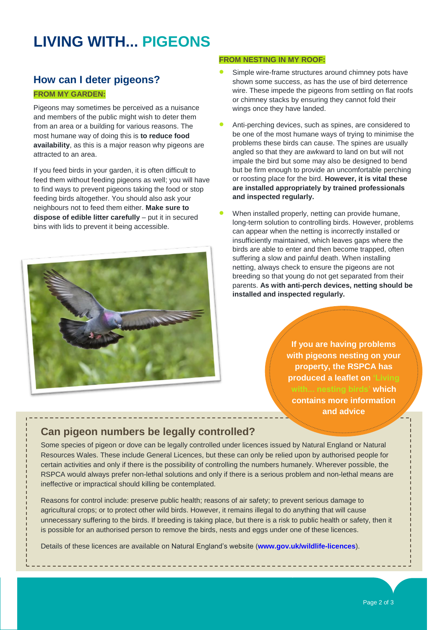# **LIVING WITH... PIGEONS**

# **How can I deter pigeons?**

#### **FROM MY GARDEN:**

.

Pigeons may sometimes be perceived as a nuisance and members of the public might wish to deter them from an area or a building for various reasons. The most humane way of doing this is **to reduce food availability**, as this is a major reason why pigeons are attracted to an area.

If you feed birds in your garden, it is often difficult to feed them without feeding pigeons as well; you will have to find ways to prevent pigeons taking the food or stop feeding birds altogether. You should also ask your neighbours not to feed them either. **Make sure to dispose of edible litter carefully** – put it in secured bins with lids to prevent it being accessible.



#### **FROM NESTING IN MY ROOF:**

- Simple wire-frame structures around chimney pots have shown some success, as has the use of bird deterrence wire. These impede the pigeons from settling on flat roofs or chimney stacks by ensuring they cannot fold their wings once they have landed.
- Anti-perching devices, such as spines, are considered to be one of the most humane ways of trying to minimise the problems these birds can cause. The spines are usually angled so that they are awkward to land on but will not impale the bird but some may also be designed to bend but be firm enough to provide an uncomfortable perching or roosting place for the bird. **However, it is vital these are installed appropriately by trained professionals and inspected regularly.**
- When installed properly, netting can provide humane, long-term solution to controlling birds. However, problems can appear when the netting is incorrectly installed or insufficiently maintained, which leaves gaps where the birds are able to enter and then become trapped, often suffering a slow and painful death. When installing netting, always check to ensure the pigeons are not breeding so that young do not get separated from their parents. **As with anti-perch devices, netting should be installed and inspected regularly.**

**If you are having problems with pigeons nesting on your property, the RSPCA has produced a leaflet on 'Living with... nesting birds' which contains more information and advice**

# **Can pigeon numbers be legally controlled?**

Some species of pigeon or dove can be legally controlled under licences issued by Natural England or Natural Resources Wales. These include General Licences, but these can only be relied upon by authorised people for certain activities and only if there is the possibility of controlling the numbers humanely. Wherever possible, the RSPCA would always prefer non-lethal solutions and only if there is a serious problem and non-lethal means are ineffective or impractical should killing be contemplated.

Reasons for control include: preserve public health; reasons of air safety; to prevent serious damage to agricultural crops; or to protect other wild birds. However, it remains illegal to do anything that will cause unnecessary suffering to the birds. If breeding is taking place, but there is a risk to public health or safety, then it is possible for an authorised person to remove the birds, nests and eggs under one of these licences.

Details of these licences are available on Natural England"s website (**[www.gov.uk/wildlife-licences](http://www.gov.uk/wildlife-licences)**).